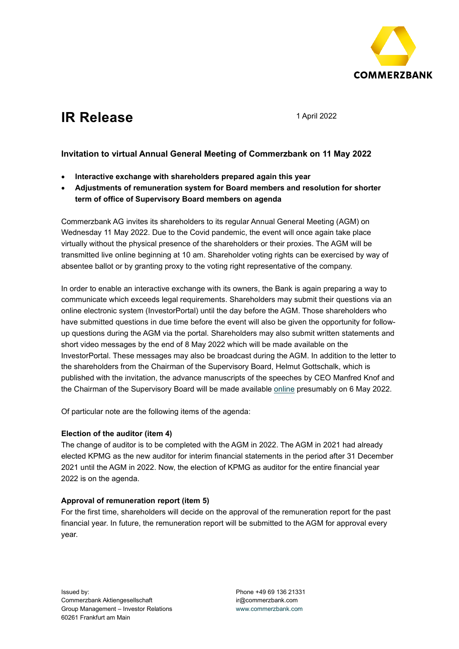

# **IR** Release 1 April 2022

## **Invitation to virtual Annual General Meeting of Commerzbank on 11 May 2022**

- **Interactive exchange with shareholders prepared again this year**
- **Adjustments of remuneration system for Board members and resolution for shorter term of office of Supervisory Board members on agenda**

Commerzbank AG invites its shareholders to its regular Annual General Meeting (AGM) on Wednesday 11 May 2022. Due to the Covid pandemic, the event will once again take place virtually without the physical presence of the shareholders or their proxies. The AGM will be transmitted live online beginning at 10 am. Shareholder voting rights can be exercised by way of absentee ballot or by granting proxy to the voting right representative of the company.

In order to enable an interactive exchange with its owners, the Bank is again preparing a way to communicate which exceeds legal requirements. Shareholders may submit their questions via an online electronic system (InvestorPortal) until the day before the AGM. Those shareholders who have submitted questions in due time before the event will also be given the opportunity for followup questions during the AGM via the portal. Shareholders may also submit written statements and short video messages by the end of 8 May 2022 which will be made available on the InvestorPortal. These messages may also be broadcast during the AGM. In addition to the letter to the shareholders from the Chairman of the Supervisory Board, Helmut Gottschalk, which is published with the invitation, the advance manuscripts of the speeches by CEO Manfred Knof and the Chairman of the Supervisory Board will be made available [online](https://www.commerzbank.com/en/hauptnavigation/aktionaere/hauptversammlung_1/hauptversammlung_2022.html) presumably on 6 May 2022.

Of particular note are the following items of the agenda:

### **Election of the auditor (item 4)**

The change of auditor is to be completed with the AGM in 2022. The AGM in 2021 had already elected KPMG as the new auditor for interim financial statements in the period after 31 December 2021 until the AGM in 2022. Now, the election of KPMG as auditor for the entire financial year 2022 is on the agenda.

## **Approval of remuneration report (item 5)**

For the first time, shareholders will decide on the approval of the remuneration report for the past financial year. In future, the remuneration report will be submitted to the AGM for approval every year.

Phone +49 69 136 21331 ir@commerzbank.com [www.commerzbank.com](http://www.commerzbank.com/)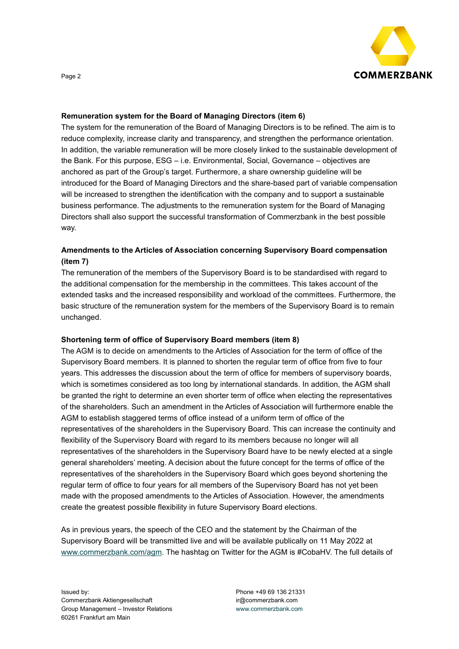

Page 2

#### **Remuneration system for the Board of Managing Directors (item 6)**

The system for the remuneration of the Board of Managing Directors is to be refined. The aim is to reduce complexity, increase clarity and transparency, and strengthen the performance orientation. In addition, the variable remuneration will be more closely linked to the sustainable development of the Bank. For this purpose, ESG – i.e. Environmental, Social, Governance – objectives are anchored as part of the Group's target. Furthermore, a share ownership guideline will be introduced for the Board of Managing Directors and the share-based part of variable compensation will be increased to strengthen the identification with the company and to support a sustainable business performance. The adjustments to the remuneration system for the Board of Managing Directors shall also support the successful transformation of Commerzbank in the best possible way.

## **Amendments to the Articles of Association concerning Supervisory Board compensation (item 7)**

The remuneration of the members of the Supervisory Board is to be standardised with regard to the additional compensation for the membership in the committees. This takes account of the extended tasks and the increased responsibility and workload of the committees. Furthermore, the basic structure of the remuneration system for the members of the Supervisory Board is to remain unchanged.

### **Shortening term of office of Supervisory Board members (item 8)**

The AGM is to decide on amendments to the Articles of Association for the term of office of the Supervisory Board members. It is planned to shorten the regular term of office from five to four years. This addresses the discussion about the term of office for members of supervisory boards, which is sometimes considered as too long by international standards. In addition, the AGM shall be granted the right to determine an even shorter term of office when electing the representatives of the shareholders. Such an amendment in the Articles of Association will furthermore enable the AGM to establish staggered terms of office instead of a uniform term of office of the representatives of the shareholders in the Supervisory Board. This can increase the continuity and flexibility of the Supervisory Board with regard to its members because no longer will all representatives of the shareholders in the Supervisory Board have to be newly elected at a single general shareholders' meeting. A decision about the future concept for the terms of office of the representatives of the shareholders in the Supervisory Board which goes beyond shortening the regular term of office to four years for all members of the Supervisory Board has not yet been made with the proposed amendments to the Articles of Association. However, the amendments create the greatest possible flexibility in future Supervisory Board elections.

As in previous years, the speech of the CEO and the statement by the Chairman of the Supervisory Board will be transmitted live and will be available publically on 11 May 2022 at [www.commerzbank.com/agm.](http://www.commerzbank.com/agm) The hashtag on Twitter for the AGM is #CobaHV. The full details of

Phone +49 69 136 21331 ir@commerzbank.com [www.commerzbank.com](http://www.commerzbank.com/)